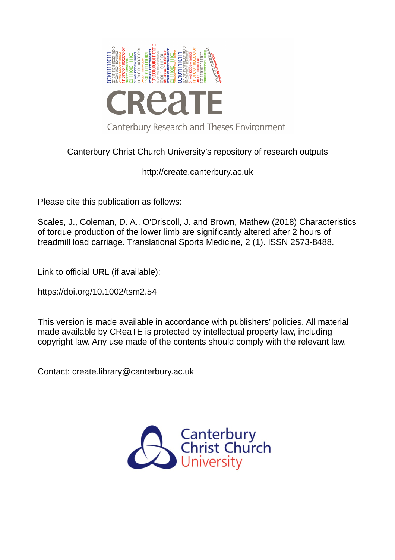

# Canterbury Christ Church University's repository of research outputs

http://create.canterbury.ac.uk

Please cite this publication as follows:

Scales, J., Coleman, D. A., O'Driscoll, J. and Brown, Mathew (2018) Characteristics of torque production of the lower limb are significantly altered after 2 hours of treadmill load carriage. Translational Sports Medicine, 2 (1). ISSN 2573-8488.

Link to official URL (if available):

https://doi.org/10.1002/tsm2.54

This version is made available in accordance with publishers' policies. All material made available by CReaTE is protected by intellectual property law, including copyright law. Any use made of the contents should comply with the relevant law.

Contact: create.library@canterbury.ac.uk

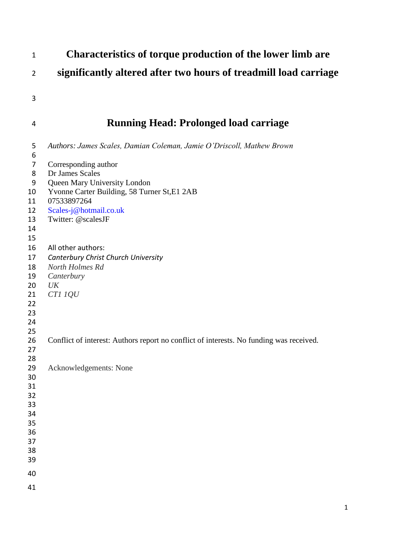| $\mathbf{1}$                                                                                                                                                                 | Characteristics of torque production of the lower limb are                                                                                                                                                                                                                                                                                                                                                                                                                                          |
|------------------------------------------------------------------------------------------------------------------------------------------------------------------------------|-----------------------------------------------------------------------------------------------------------------------------------------------------------------------------------------------------------------------------------------------------------------------------------------------------------------------------------------------------------------------------------------------------------------------------------------------------------------------------------------------------|
| $\overline{2}$                                                                                                                                                               | significantly altered after two hours of treadmill load carriage                                                                                                                                                                                                                                                                                                                                                                                                                                    |
| 3                                                                                                                                                                            |                                                                                                                                                                                                                                                                                                                                                                                                                                                                                                     |
| 4                                                                                                                                                                            | <b>Running Head: Prolonged load carriage</b>                                                                                                                                                                                                                                                                                                                                                                                                                                                        |
| 5<br>6<br>$\overline{7}$<br>8<br>9<br>10<br>11<br>12<br>13<br>14<br>15<br>16<br>17<br>18<br>19<br>20<br>21<br>22<br>23<br>24<br>25<br>26<br>27<br>28<br>29<br>30<br>31<br>32 | Authors: James Scales, Damian Coleman, Jamie O'Driscoll, Mathew Brown<br>Corresponding author<br>Dr James Scales<br>Queen Mary University London<br>Yvonne Carter Building, 58 Turner St, E1 2AB<br>07533897264<br>Scales-j@hotmail.co.uk<br>Twitter: @scalesJF<br>All other authors:<br>Canterbury Christ Church University<br>North Holmes Rd<br>Canterbury<br>UK<br>CT1 1QU<br>Conflict of interest: Authors report no conflict of interests. No funding was received.<br>Acknowledgements: None |
| 33<br>34<br>35<br>36<br>37<br>38<br>39                                                                                                                                       |                                                                                                                                                                                                                                                                                                                                                                                                                                                                                                     |
| 40                                                                                                                                                                           |                                                                                                                                                                                                                                                                                                                                                                                                                                                                                                     |
| 41                                                                                                                                                                           |                                                                                                                                                                                                                                                                                                                                                                                                                                                                                                     |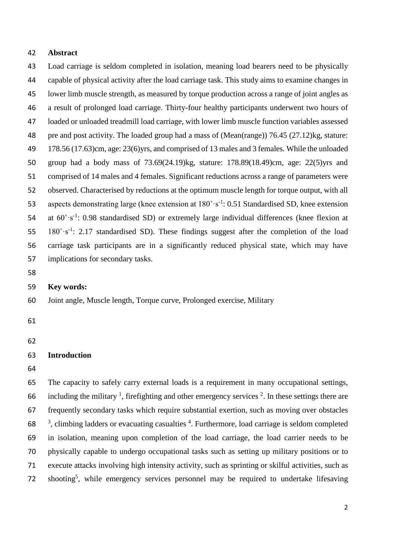#### **Abstract**

 Load carriage is seldom completed in isolation, meaning load bearers need to be physically capable of physical activity after the load carriage task. This study aims to examine changes in lower limb muscle strength, as measured by torque production across a range of joint angles as a result of prolonged load carriage. Thirty-four healthy participants underwent two hours of loaded or unloaded treadmill load carriage, with lower limb muscle function variables assessed pre and post activity. The loaded group had a mass of (Mean(range)) 76.45 (27.12)kg, stature: 178.56 (17.63)cm, age: 23(6)yrs, and comprised of 13 males and 3 females. While the unloaded group had a body mass of 73.69(24.19)kg, stature: 178.89(18.49)cm, age: 22(5)yrs and comprised of 14 males and 4 females. Significant reductions across a range of parameters were observed. Characterised by reductions at the optimum muscle length for torque output, with all 53 aspects demonstrating large (knee extension at  $180^\circ \text{ s}^{-1}$ : 0.51 Standardised SD, knee extension 54 at  $60^{\circ} \cdot s^{-1}$ : 0.98 standardised SD) or extremely large individual differences (knee flexion at  $180^\circ \cdot s^{-1}$ : 2.17 standardised SD). These findings suggest after the completion of the load carriage task participants are in a significantly reduced physical state, which may have implications for secondary tasks. **Key words:**

### Joint angle, Muscle length, Torque curve, Prolonged exercise, Military

- 
- 

### **Introduction**

 The capacity to safely carry external loads is a requirement in many occupational settings, 66 including the military  $\frac{1}{2}$ , firefighting and other emergency services  $\frac{2}{2}$ . In these settings there are frequently secondary tasks which require substantial exertion, such as moving over obstacles  $58<sup>3</sup>$ , climbing ladders or evacuating casualties <sup>4</sup>. Furthermore, load carriage is seldom completed in isolation, meaning upon completion of the load carriage, the load carrier needs to be physically capable to undergo occupational tasks such as setting up military positions or to execute attacks involving high intensity activity, such as sprinting or skilful activities, such as  $\lambda$  72 shooting<sup>5</sup>, while emergency services personnel may be required to undertake lifesaving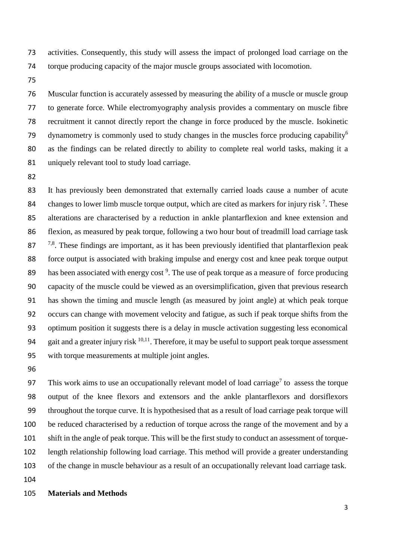activities. Consequently, this study will assess the impact of prolonged load carriage on the torque producing capacity of the major muscle groups associated with locomotion.

 Muscular function is accurately assessed by measuring the ability of a muscle or muscle group to generate force. While electromyography analysis provides a commentary on muscle fibre recruitment it cannot directly report the change in force produced by the muscle. Isokinetic 79 dynamometry is commonly used to study changes in the muscles force producing capability<sup>6</sup> as the findings can be related directly to ability to complete real world tasks, making it a uniquely relevant tool to study load carriage.

 It has previously been demonstrated that externally carried loads cause a number of acute 84 changes to lower limb muscle torque output, which are cited as markers for injury risk  $<sup>7</sup>$ . These</sup> alterations are characterised by a reduction in ankle plantarflexion and knee extension and flexion, as measured by peak torque, following a two hour bout of treadmill load carriage task  $7^{7,8}$ . These findings are important, as it has been previously identified that plantarflexion peak force output is associated with braking impulse and energy cost and knee peak torque output 89 has been associated with energy cost . The use of peak torque as a measure of force producing capacity of the muscle could be viewed as an oversimplification, given that previous research has shown the timing and muscle length (as measured by joint angle) at which peak torque occurs can change with movement velocity and fatigue, as such if peak torque shifts from the optimum position it suggests there is a delay in muscle activation suggesting less economical 94 gait and a greater injury risk  $10,11$ . Therefore, it may be useful to support peak torque assessment with torque measurements at multiple joint angles.

This work aims to use an occupationally relevant model of load carriage<sup>7</sup> to assess the torque output of the knee flexors and extensors and the ankle plantarflexors and dorsiflexors throughout the torque curve. It is hypothesised that as a result of load carriage peak torque will be reduced characterised by a reduction of torque across the range of the movement and by a shift in the angle of peak torque. This will be the first study to conduct an assessment of torque- length relationship following load carriage. This method will provide a greater understanding of the change in muscle behaviour as a result of an occupationally relevant load carriage task.

### **Materials and Methods**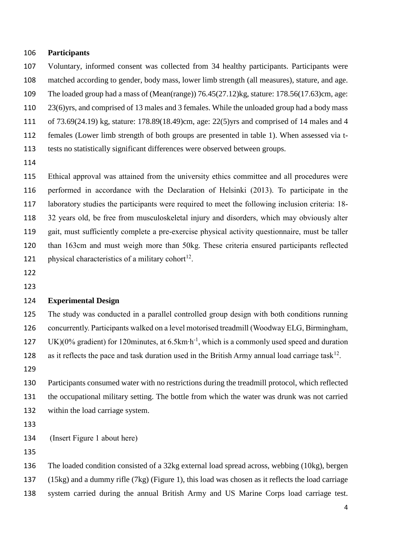#### **Participants**

 Voluntary, informed consent was collected from 34 healthy participants. Participants were matched according to gender, body mass, lower limb strength (all measures), stature, and age.

The loaded group had a mass of (Mean(range)) 76.45(27.12)kg, stature: 178.56(17.63)cm, age:

23(6)yrs, and comprised of 13 males and 3 females. While the unloaded group had a body mass

of 73.69(24.19) kg, stature: 178.89(18.49)cm, age: 22(5)yrs and comprised of 14 males and 4

females (Lower limb strength of both groups are presented in table 1). When assessed via t-

tests no statistically significant differences were observed between groups.

 Ethical approval was attained from the university ethics committee and all procedures were performed in accordance with the Declaration of Helsinki (2013). To participate in the laboratory studies the participants were required to meet the following inclusion criteria: 18- 32 years old, be free from musculoskeletal injury and disorders, which may obviously alter gait, must sufficiently complete a pre-exercise physical activity questionnaire, must be taller than 163cm and must weigh more than 50kg. These criteria ensured participants reflected 121 physical characteristics of a military cohort<sup>12</sup>.

- 
- 

### **Experimental Design**

 The study was conducted in a parallel controlled group design with both conditions running concurrently. Participants walked on a level motorised treadmill (Woodway ELG, Birmingham, 127 UK)(0% gradient) for 120minutes, at 6.5km⋅h<sup>-1</sup>, which is a commonly used speed and duration 128 as it reflects the pace and task duration used in the British Army annual load carriage task<sup>12</sup>.

 Participants consumed water with no restrictions during the treadmill protocol, which reflected the occupational military setting. The bottle from which the water was drunk was not carried within the load carriage system.

(Insert Figure 1 about here)

 The loaded condition consisted of a 32kg external load spread across, webbing (10kg), bergen (15kg) and a dummy rifle (7kg) (Figure 1), this load was chosen as it reflects the load carriage system carried during the annual British Army and US Marine Corps load carriage test.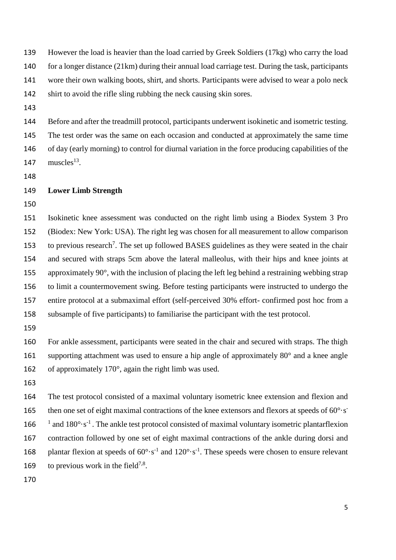However the load is heavier than the load carried by Greek Soldiers (17kg) who carry the load for a longer distance (21km) during their annual load carriage test. During the task, participants wore their own walking boots, shirt, and shorts. Participants were advised to wear a polo neck shirt to avoid the rifle sling rubbing the neck causing skin sores.

 Before and after the treadmill protocol, participants underwent isokinetic and isometric testing. The test order was the same on each occasion and conducted at approximately the same time of day (early morning) to control for diurnal variation in the force producing capabilities of the  $muscles<sup>13</sup>$ .

### **Lower Limb Strength**

 Isokinetic knee assessment was conducted on the right limb using a Biodex System 3 Pro (Biodex: New York: USA). The right leg was chosen for all measurement to allow comparison to previous research<sup>7</sup>. The set up followed BASES guidelines as they were seated in the chair and secured with straps 5cm above the lateral malleolus, with their hips and knee joints at approximately 90°, with the inclusion of placing the left leg behind a restraining webbing strap to limit a countermovement swing. Before testing participants were instructed to undergo the entire protocol at a submaximal effort (self-perceived 30% effort- confirmed post hoc from a subsample of five participants) to familiarise the participant with the test protocol.

 For ankle assessment, participants were seated in the chair and secured with straps. The thigh 161 supporting attachment was used to ensure a hip angle of approximately 80° and a knee angle of approximately 170°, again the right limb was used.

 The test protocol consisted of a maximal voluntary isometric knee extension and flexion and 165 then one set of eight maximal contractions of the knee extensors and flexors at speeds of  $60^{\circ}$ ·s<sup>-</sup> <sup>1</sup> and  $180^{\circ} \cdot s^{-1}$ . The ankle test protocol consisted of maximal voluntary isometric plantarflexion contraction followed by one set of eight maximal contractions of the ankle during dorsi and 168 plantar flexion at speeds of  $60^{\circ} \cdot s^{-1}$  and  $120^{\circ} \cdot s^{-1}$ . These speeds were chosen to ensure relevant 169 to previous work in the field<sup>7,8</sup>.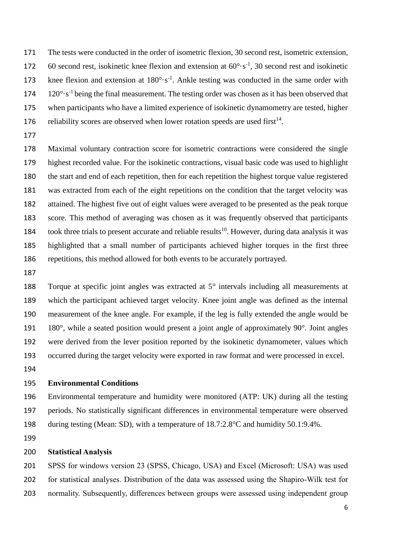The tests were conducted in the order of isometric flexion, 30 second rest, isometric extension, 172 60 second rest, isokinetic knee flexion and extension at  $60^{\circ} \cdot s^{-1}$ , 30 second rest and isokinetic 173 knee flexion and extension at  $180^{\circ} \text{·s}^{-1}$ . Ankle testing was conducted in the same order with  $120^{\circ} \cdot s^{-1}$  being the final measurement. The testing order was chosen as it has been observed that when participants who have a limited experience of isokinetic dynamometry are tested, higher 176 reliability scores are observed when lower rotation speeds are used first<sup>14</sup>.

 Maximal voluntary contraction score for isometric contractions were considered the single highest recorded value. For the isokinetic contractions, visual basic code was used to highlight the start and end of each repetition, then for each repetition the highest torque value registered was extracted from each of the eight repetitions on the condition that the target velocity was attained. The highest five out of eight values were averaged to be presented as the peak torque score. This method of averaging was chosen as it was frequently observed that participants 184 took three trials to present accurate and reliable results<sup>10</sup>. However, during data analysis it was highlighted that a small number of participants achieved higher torques in the first three repetitions, this method allowed for both events to be accurately portrayed.

 Torque at specific joint angles was extracted at 5° intervals including all measurements at which the participant achieved target velocity. Knee joint angle was defined as the internal measurement of the knee angle. For example, if the leg is fully extended the angle would be 180°, while a seated position would present a joint angle of approximately 90°. Joint angles were derived from the lever position reported by the isokinetic dynamometer, values which occurred during the target velocity were exported in raw format and were processed in excel.

### **Environmental Conditions**

 Environmental temperature and humidity were monitored (ATP: UK) during all the testing periods. No statistically significant differences in environmental temperature were observed during testing (Mean: SD), with a temperature of 18.7:2.8°C and humidity 50.1:9.4%.

#### **Statistical Analysis**

 SPSS for windows version 23 (SPSS, Chicago, USA) and Excel (Microsoft: USA) was used for statistical analyses. Distribution of the data was assessed using the Shapiro-Wilk test for normality. Subsequently, differences between groups were assessed using independent group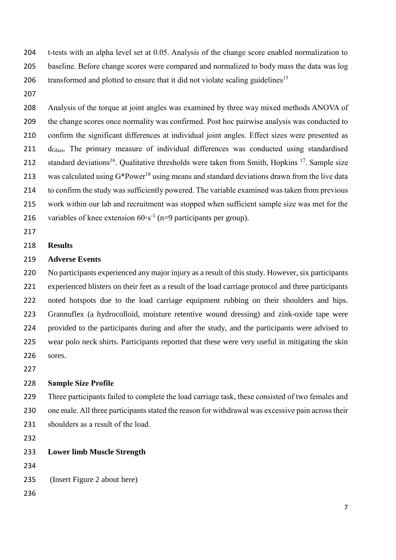t-tests with an alpha level set at 0.05. Analysis of the change score enabled normalization to baseline. Before change scores were compared and normalized to body mass the data was log 206 transformed and plotted to ensure that it did not violate scaling guidelines<sup>15</sup>

 Analysis of the torque at joint angles was examined by three way mixed methods ANOVA of the change scores once normality was confirmed. Post hoc pairwise analysis was conducted to confirm the significant differences at individual joint angles. Effect sizes were presented as 211 d<sub>Glass</sub>. The primary measure of individual differences was conducted using standardised 212 standard deviations<sup>16</sup>. Qualitative thresholds were taken from Smith, Hopkins <sup>17</sup>. Sample size 213 was calculated using  $G^*Power^{18}$  using means and standard deviations drawn from the live data to confirm the study was sufficiently powered. The variable examined was taken from previous work within our lab and recruitment was stopped when sufficient sample size was met for the 216 variables of knee extension  $60°s^{-1}$  (n=9 participants per group).

### **Results**

### **Adverse Events**

 No participants experienced any major injury as a result of this study. However, six participants experienced blisters on their feet as a result of the load carriage protocol and three participants noted hotspots due to the load carriage equipment rubbing on their shoulders and hips. Grannuflex (a hydrocolloid, moisture retentive wound dressing) and zink-oxide tape were provided to the participants during and after the study, and the participants were advised to wear polo neck shirts. Participants reported that these were very useful in mitigating the skin sores.

### **Sample Size Profile**

 Three participants failed to complete the load carriage task, these consisted of two females and one male. All three participants stated the reason for withdrawal was excessive pain across their shoulders as a result of the load.

### **Lower limb Muscle Strength**

(Insert Figure 2 about here)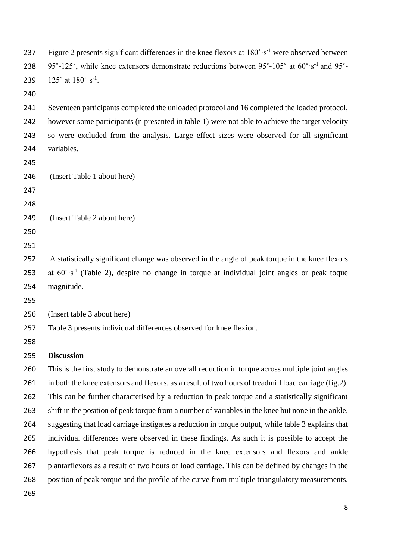237 Figure 2 presents significant differences in the knee flexors at  $180^\circ \cdot s^{-1}$  were observed between 238 95 $\degree$ -125 $\degree$ , while knee extensors demonstrate reductions between 95 $\degree$ -105 $\degree$  at 60 $\degree$ ·s<sup>-1</sup> and 95 $\degree$ - $125^\circ$  at  $180^\circ \cdot s^{-1}$ . Seventeen participants completed the unloaded protocol and 16 completed the loaded protocol, however some participants (n presented in table 1) were not able to achieve the target velocity so were excluded from the analysis. Large effect sizes were observed for all significant variables. (Insert Table 1 about here) (Insert Table 2 about here) A statistically significant change was observed in the angle of peak torque in the knee flexors 253 at  $60^{\circ} \text{ s}^{-1}$  (Table 2), despite no change in torque at individual joint angles or peak toque magnitude. (Insert table 3 about here) Table 3 presents individual differences observed for knee flexion. **Discussion** This is the first study to demonstrate an overall reduction in torque across multiple joint angles in both the knee extensors and flexors, as a result of two hours of treadmill load carriage (fig.2). This can be further characterised by a reduction in peak torque and a statistically significant shift in the position of peak torque from a number of variables in the knee but none in the ankle, suggesting that load carriage instigates a reduction in torque output, while table 3 explains that individual differences were observed in these findings. As such it is possible to accept the hypothesis that peak torque is reduced in the knee extensors and flexors and ankle plantarflexors as a result of two hours of load carriage. This can be defined by changes in the position of peak torque and the profile of the curve from multiple triangulatory measurements.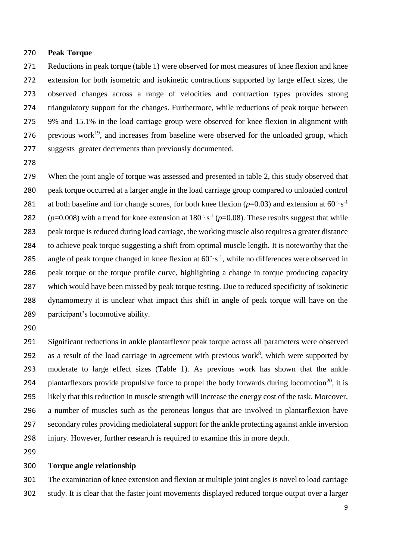#### **Peak Torque**

 Reductions in peak torque (table 1) were observed for most measures of knee flexion and knee extension for both isometric and isokinetic contractions supported by large effect sizes, the observed changes across a range of velocities and contraction types provides strong triangulatory support for the changes. Furthermore, while reductions of peak torque between 9% and 15.1% in the load carriage group were observed for knee flexion in alignment with 276 – previous work<sup>19</sup>, and increases from baseline were observed for the unloaded group, which suggests greater decrements than previously documented.

 When the joint angle of torque was assessed and presented in table 2, this study observed that peak torque occurred at a larger angle in the load carriage group compared to unloaded control 281 at both baseline and for change scores, for both knee flexion  $(p=0.03)$  and extension at  $60^\circ \cdot s^{-1}$  $(p=0.008)$  with a trend for knee extension at  $180^\circ \cdot s^{-1}$   $(p=0.08)$ . These results suggest that while peak torque is reduced during load carriage, the working muscle also requires a greater distance to achieve peak torque suggesting a shift from optimal muscle length. It is noteworthy that the 285 angle of peak torque changed in knee flexion at  $60^\circ \cdot s^{-1}$ , while no differences were observed in peak torque or the torque profile curve, highlighting a change in torque producing capacity which would have been missed by peak torque testing. Due to reduced specificity of isokinetic dynamometry it is unclear what impact this shift in angle of peak torque will have on the participant's locomotive ability.

 Significant reductions in ankle plantarflexor peak torque across all parameters were observed 292 as a result of the load carriage in agreement with previous work<sup>8</sup>, which were supported by moderate to large effect sizes (Table 1). As previous work has shown that the ankle 294 plantarflexors provide propulsive force to propel the body forwards during locomotion<sup>20</sup>, it is likely that this reduction in muscle strength will increase the energy cost of the task. Moreover, a number of muscles such as the peroneus longus that are involved in plantarflexion have secondary roles providing mediolateral support for the ankle protecting against ankle inversion injury. However, further research is required to examine this in more depth.

### **Torque angle relationship**

 The examination of knee extension and flexion at multiple joint angles is novel to load carriage study. It is clear that the faster joint movements displayed reduced torque output over a larger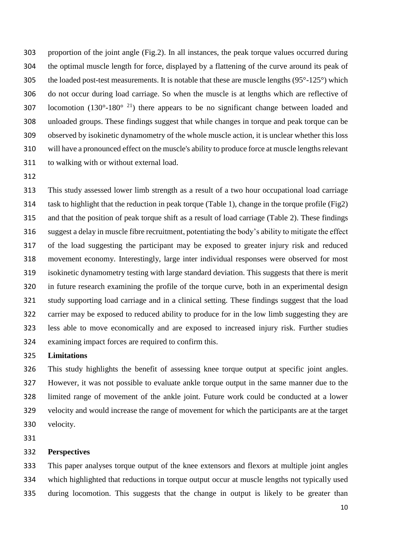proportion of the joint angle (Fig.2). In all instances, the peak torque values occurred during the optimal muscle length for force, displayed by a flattening of the curve around its peak of 305 the loaded post-test measurements. It is notable that these are muscle lengths  $(95^{\circ} - 125^{\circ})$  which do not occur during load carriage. So when the muscle is at lengths which are reflective of 307 locomotion (130 $^{\circ}$ -180 $^{\circ}$ <sup>21</sup>) there appears to be no significant change between loaded and unloaded groups. These findings suggest that while changes in torque and peak torque can be observed by isokinetic dynamometry of the whole muscle action, it is unclear whether this loss will have a pronounced effect on the muscle's ability to produce force at muscle lengths relevant to walking with or without external load.

 This study assessed lower limb strength as a result of a two hour occupational load carriage task to highlight that the reduction in peak torque (Table 1), change in the torque profile (Fig2) and that the position of peak torque shift as a result of load carriage (Table 2). These findings suggest a delay in muscle fibre recruitment, potentiating the body's ability to mitigate the effect of the load suggesting the participant may be exposed to greater injury risk and reduced movement economy. Interestingly, large inter individual responses were observed for most isokinetic dynamometry testing with large standard deviation. This suggests that there is merit in future research examining the profile of the torque curve, both in an experimental design study supporting load carriage and in a clinical setting. These findings suggest that the load carrier may be exposed to reduced ability to produce for in the low limb suggesting they are less able to move economically and are exposed to increased injury risk. Further studies examining impact forces are required to confirm this.

### **Limitations**

 This study highlights the benefit of assessing knee torque output at specific joint angles. However, it was not possible to evaluate ankle torque output in the same manner due to the limited range of movement of the ankle joint. Future work could be conducted at a lower velocity and would increase the range of movement for which the participants are at the target velocity.

### **Perspectives**

 This paper analyses torque output of the knee extensors and flexors at multiple joint angles which highlighted that reductions in torque output occur at muscle lengths not typically used during locomotion. This suggests that the change in output is likely to be greater than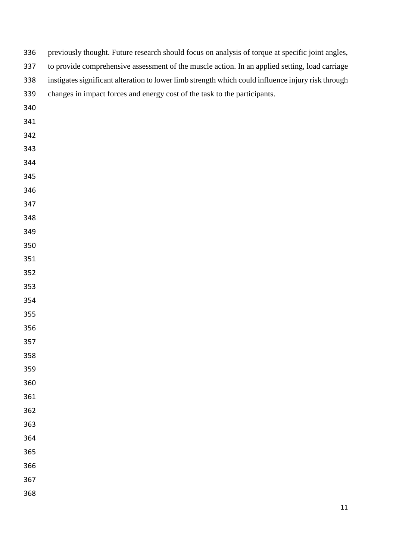| 336 | previously thought. Future research should focus on analysis of torque at specific joint angles,   |
|-----|----------------------------------------------------------------------------------------------------|
| 337 | to provide comprehensive assessment of the muscle action. In an applied setting, load carriage     |
| 338 | instigates significant alteration to lower limb strength which could influence injury risk through |
| 339 | changes in impact forces and energy cost of the task to the participants.                          |
| 340 |                                                                                                    |
| 341 |                                                                                                    |
| 342 |                                                                                                    |
| 343 |                                                                                                    |
| 344 |                                                                                                    |
| 345 |                                                                                                    |
| 346 |                                                                                                    |
| 347 |                                                                                                    |
| 348 |                                                                                                    |
| 349 |                                                                                                    |
| 350 |                                                                                                    |
| 351 |                                                                                                    |
| 352 |                                                                                                    |
| 353 |                                                                                                    |
| 354 |                                                                                                    |
| 355 |                                                                                                    |
| 356 |                                                                                                    |
| 357 |                                                                                                    |
| 358 |                                                                                                    |
| 359 |                                                                                                    |
| 360 |                                                                                                    |
| 361 |                                                                                                    |
| 362 |                                                                                                    |
| 363 |                                                                                                    |
| 364 |                                                                                                    |
| 365 |                                                                                                    |
| 366 |                                                                                                    |
| 367 |                                                                                                    |
| 368 |                                                                                                    |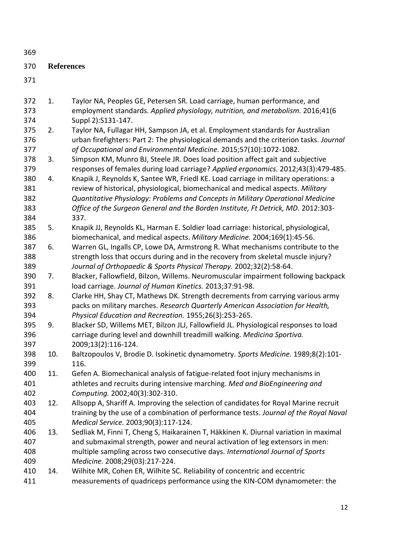**References** 1. Taylor NA, Peoples GE, Petersen SR. Load carriage, human performance, and employment standards. *Applied physiology, nutrition, and metabolism.* 2016;41(6 Suppl 2):S131-147. 2. Taylor NA, Fullagar HH, Sampson JA, et al. Employment standards for Australian urban firefighters: Part 2: The physiological demands and the criterion tasks. *Journal of Occupational and Environmental Medicine.* 2015;57(10):1072-1082. 3. Simpson KM, Munro BJ, Steele JR. Does load position affect gait and subjective responses of females during load carriage? *Applied ergonomics.* 2012;43(3):479-485. 4. Knapik J, Reynolds K, Santee WR, Friedl KE. Load carriage in military operations: a review of historical, physiological, biomechanical and medical aspects. *Military Quantitative Physiology: Problems and Concepts in Military Operational Medicine Office of the Surgeon General and the Borden Institute, Ft Detrick, MD.* 2012:303- 337. 5. Knapik JJ, Reynolds KL, Harman E. Soldier load carriage: historical, physiological, biomechanical, and medical aspects. *Military Medicine.* 2004;169(1):45-56. 6. Warren GL, Ingalls CP, Lowe DA, Armstrong R. What mechanisms contribute to the strength loss that occurs during and in the recovery from skeletal muscle injury? *Journal of Orthopaedic & Sports Physical Therapy.* 2002;32(2):58-64. 7. Blacker, Fallowfield, Bilzon, Willems. Neuromuscular impairment following backpack load carriage. *Journal of Human Kinetics.* 2013;37:91-98. 8. Clarke HH, Shay CT, Mathews DK. Strength decrements from carrying various army packs on military marches. *Research Quarterly American Association for Health, Physical Education and Recreation.* 1955;26(3):253-265. 9. Blacker SD, Willems MET, Bilzon JLJ, Fallowfield JL. Physiological responses to load carriage during level and downhill treadmill walking. *Medicina Sportiva.*  2009;13(2):116-124. 10. Baltzopoulos V, Brodie D. Isokinetic dynamometry. *Sports Medicine.* 1989;8(2):101- 116. 11. Gefen A. Biomechanical analysis of fatigue-related foot injury mechanisms in athletes and recruits during intensive marching. *Med and BioEngineering and Computing.* 2002;40(3):302-310. 12. Allsopp A, Shariff A. Improving the selection of candidates for Royal Marine recruit training by the use of a combination of performance tests. *Journal of the Royal Naval Medical Service.* 2003;90(3):117-124. 13. Sedliak M, Finni T, Cheng S, Haikarainen T, Häkkinen K. Diurnal variation in maximal and submaximal strength, power and neural activation of leg extensors in men: multiple sampling across two consecutive days. *International Journal of Sports Medicine.* 2008;29(03):217-224. 14. Wilhite MR, Cohen ER, Wilhite SC. Reliability of concentric and eccentric measurements of quadriceps performance using the KIN-COM dynamometer: the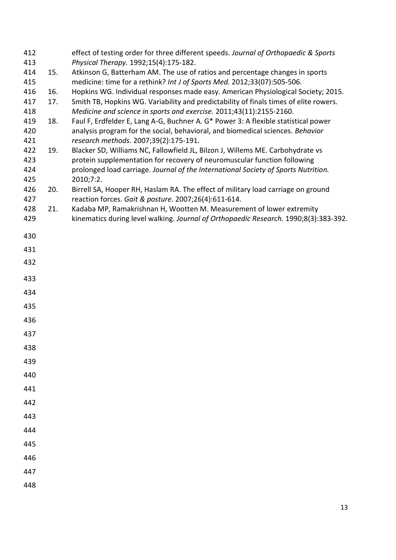| 412 |     | effect of testing order for three different speeds. Journal of Orthopaedic & Sports   |
|-----|-----|---------------------------------------------------------------------------------------|
| 413 |     | Physical Therapy. 1992;15(4):175-182.                                                 |
| 414 | 15. | Atkinson G, Batterham AM. The use of ratios and percentage changes in sports          |
| 415 |     | medicine: time for a rethink? Int J of Sports Med. 2012;33(07):505-506.               |
| 416 | 16. | Hopkins WG. Individual responses made easy. American Physiological Society; 2015.     |
| 417 | 17. | Smith TB, Hopkins WG. Variability and predictability of finals times of elite rowers. |
| 418 |     | Medicine and science in sports and exercise. 2011;43(11):2155-2160.                   |
| 419 | 18. | Faul F, Erdfelder E, Lang A-G, Buchner A. G* Power 3: A flexible statistical power    |
| 420 |     | analysis program for the social, behavioral, and biomedical sciences. Behavior        |
| 421 |     | research methods. 2007;39(2):175-191.                                                 |
| 422 | 19. | Blacker SD, Williams NC, Fallowfield JL, Bilzon J, Willems ME. Carbohydrate vs        |
| 423 |     | protein supplementation for recovery of neuromuscular function following              |
| 424 |     | prolonged load carriage. Journal of the International Society of Sports Nutrition.    |
| 425 |     | 2010;7:2.                                                                             |
| 426 | 20. | Birrell SA, Hooper RH, Haslam RA. The effect of military load carriage on ground      |
| 427 |     | reaction forces. Gait & posture. 2007;26(4):611-614.                                  |
| 428 | 21. | Kadaba MP, Ramakrishnan H, Wootten M. Measurement of lower extremity                  |
| 429 |     | kinematics during level walking. Journal of Orthopaedic Research. 1990;8(3):383-392.  |
| 430 |     |                                                                                       |
|     |     |                                                                                       |
| 431 |     |                                                                                       |
| 432 |     |                                                                                       |
| 433 |     |                                                                                       |
|     |     |                                                                                       |
| 434 |     |                                                                                       |
| 435 |     |                                                                                       |
| 436 |     |                                                                                       |
|     |     |                                                                                       |
| 437 |     |                                                                                       |
| 438 |     |                                                                                       |
| 439 |     |                                                                                       |
| 440 |     |                                                                                       |
| 441 |     |                                                                                       |
| 442 |     |                                                                                       |
| 443 |     |                                                                                       |
| 444 |     |                                                                                       |
| 445 |     |                                                                                       |
| 446 |     |                                                                                       |
| 447 |     |                                                                                       |
|     |     |                                                                                       |
| 448 |     |                                                                                       |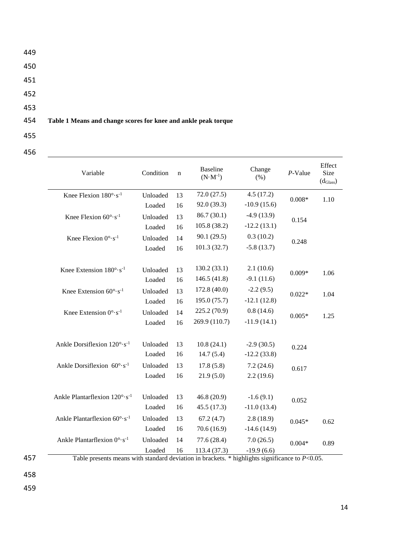449 450 451 452 453 454 **Table 1 Means and change scores for knee and ankle peak torque** 455

| Variable                                     | Condition | $\mathbf n$ | <b>Baseline</b><br>$(N \cdot M^{-1})$ | Change<br>(% )                                | $P$ -Value | Effect<br>Size<br>$(d_{\text{Glass}})$ |
|----------------------------------------------|-----------|-------------|---------------------------------------|-----------------------------------------------|------------|----------------------------------------|
| Knee Flexion $180^\circ \cdot s^{-1}$        | Unloaded  | 13          | 72.0(27.5)                            | 4.5(17.2)                                     | $0.008*$   | 1.10                                   |
|                                              | Loaded    | 16          | 92.0 (39.3)                           | $-10.9(15.6)$                                 |            |                                        |
| Knee Flexion $60^\circ \cdot s^{-1}$         | Unloaded  | 13          | 86.7(30.1)                            | $-4.9(13.9)$                                  | 0.154      |                                        |
|                                              | Loaded    | 16          | 105.8 (38.2)                          | $-12.2(13.1)$                                 |            |                                        |
| Knee Flexion $0^{\circ} \cdot s^{-1}$        | Unloaded  | 14          | 90.1(29.5)                            | 0.3(10.2)                                     | 0.248      |                                        |
|                                              | Loaded    | 16          | 101.3(32.7)                           | $-5.8(13.7)$                                  |            |                                        |
|                                              |           |             |                                       |                                               |            |                                        |
| Knee Extension $180^\circ \cdot s^{-1}$      | Unloaded  | 13          | 130.2(33.1)                           | 2.1(10.6)                                     | $0.009*$   | 1.06                                   |
|                                              | Loaded    | 16          | 146.5(41.8)                           | $-9.1(11.6)$                                  |            |                                        |
| Knee Extension $60^{\circ} \cdot s^{-1}$     | Unloaded  | 13          | 172.8 (40.0)                          | $-2.2(9.5)$                                   | $0.022*$   | 1.04                                   |
|                                              | Loaded    | 16          | 195.0(75.7)                           | $-12.1(12.8)$                                 |            |                                        |
| Knee Extension $0^{\circ} \cdot s^{-1}$      | Unloaded  | 14          | 225.2(70.9)                           | 0.8(14.6)                                     | $0.005*$   | 1.25                                   |
|                                              | Loaded    | 16          | 269.9 (110.7)                         | $-11.9(14.1)$                                 |            |                                        |
|                                              |           |             |                                       |                                               |            |                                        |
| Ankle Dorsiflexion 120°·s <sup>-1</sup>      | Unloaded  | 13          | 10.8(24.1)                            | $-2.9(30.5)$                                  | 0.224      |                                        |
|                                              | Loaded    | 16          | 14.7(5.4)                             | $-12.2(33.8)$                                 |            |                                        |
| Ankle Dorsiflexion $60^{\circ} \cdot s^{-1}$ | Unloaded  | 13          | 17.8(5.8)                             | 7.2(24.6)                                     | 0.617      |                                        |
|                                              | Loaded    | 16          | 21.9(5.0)                             | 2.2(19.6)                                     |            |                                        |
|                                              |           |             |                                       |                                               |            |                                        |
| Ankle Plantarflexion 120°·s <sup>-1</sup>    | Unloaded  | 13          | 46.8(20.9)                            | $-1.6(9.1)$                                   | 0.052      |                                        |
|                                              | Loaded    | 16          | 45.5(17.3)                            | $-11.0(13.4)$                                 |            |                                        |
| Ankle Plantarflexion 60°·s <sup>-1</sup>     | Unloaded  | 13          | 67.2(4.7)                             | 2.8(18.9)                                     | $0.045*$   | 0.62                                   |
|                                              | Loaded    | 16          | 70.6(16.9)                            | $-14.6(14.9)$                                 |            |                                        |
| Ankle Plantarflexion 0°·s <sup>-1</sup>      | Unloaded  | 14          | 77.6(28.4)                            | 7.0(26.5)                                     | $0.004*$   | 0.89                                   |
|                                              | Loaded    | 16          | 113.4(37.3)                           | $-19.9(6.6)$<br>$40 - 11 - 11 - 11 - 11 - 11$ |            |                                        |

456

Table presents means with standard deviation in brackets. \* highlights significance to *P*<0.05.

458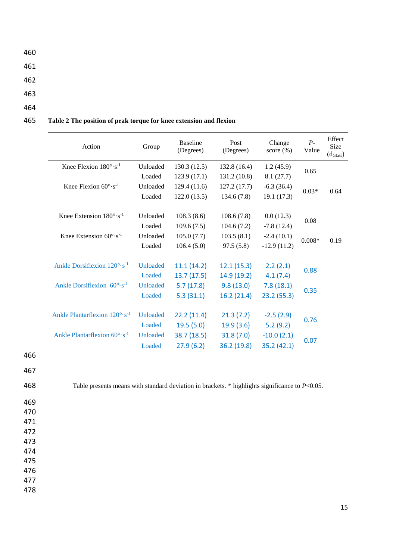- 460
- 461

462

- 463
- 464

## 465 **Table 2 The position of peak torque for knee extension and flexion**

| Action                                          | Group           | <b>Baseline</b><br>(Degrees) | Post<br>(Degrees) | Change<br>score $(\% )$ | $P-$<br>Value | Effect<br>Size<br>$(d_{\text{Glass}})$ |
|-------------------------------------------------|-----------------|------------------------------|-------------------|-------------------------|---------------|----------------------------------------|
| Knee Flexion $180^\circ \cdot s^{-1}$           | Unloaded        | 130.3(12.5)                  | 132.8 (16.4)      | 1.2(45.9)               | 0.65          |                                        |
|                                                 | Loaded          | 123.9(17.1)                  | 131.2 (10.8)      | 8.1(27.7)               |               |                                        |
| Knee Flexion $60^{\circ} \cdot s^{-1}$          | Unloaded        | 129.4(11.6)                  | 127.2(17.7)       | $-6.3(36.4)$            | $0.03*$       | 0.64                                   |
|                                                 | Loaded          | 122.0(13.5)                  | 134.6(7.8)        | 19.1(17.3)              |               |                                        |
|                                                 |                 |                              |                   |                         |               |                                        |
| Knee Extension $180^{\circ} \cdot s^{-1}$       | Unloaded        | 108.3(8.6)                   | 108.6(7.8)        | 0.0(12.3)               | 0.08          |                                        |
|                                                 | Loaded          | 109.6(7.5)                   | 104.6(7.2)        | $-7.8(12.4)$            |               |                                        |
| Knee Extension $60^{\circ} \cdot s^{-1}$        | Unloaded        | 105.0(7.7)                   | 103.5(8.1)        | $-2.4(10.1)$            | $0.008*$      | 0.19                                   |
|                                                 | Loaded          | 106.4(5.0)                   | 97.5(5.8)         | $-12.9(11.2)$           |               |                                        |
| Ankle Dorsiflexion $120^\circ \cdot s^{-1}$     | <b>Unloaded</b> | 11.1(14.2)                   | 12.1(15.3)        | 2.2(2.1)                |               |                                        |
|                                                 | Loaded          | 13.7(17.5)                   | 14.9 (19.2)       | 4.1(7.4)                | 0.88          |                                        |
| Ankle Dorsiflexion $60^\circ \cdot s^{-1}$      | Unloaded        | 5.7(17.8)                    | 9.8(13.0)         | 7.8(18.1)               |               |                                        |
|                                                 | Loaded          | 5.3(31.1)                    | 16.2(21.4)        | 23.2(55.3)              | 0.35          |                                        |
|                                                 |                 |                              |                   |                         |               |                                        |
| Ankle Plantarflexion $120^{\circ} \cdot s^{-1}$ | Unloaded        | 22.2(11.4)                   | 21.3(7.2)         | $-2.5(2.9)$             |               |                                        |
|                                                 | Loaded          | 19.5(5.0)                    | 19.9(3.6)         | 5.2(9.2)                | 0.76          |                                        |
| Ankle Plantarflexion $60^{\circ} \cdot s^{-1}$  | Unloaded        | 38.7(18.5)                   | 31.8(7.0)         | $-10.0(2.1)$            |               |                                        |
|                                                 | Loaded          | 27.9(6.2)                    | 36.2 (19.8)       | 35.2 (42.1)             | 0.07          |                                        |

466

467

468 Table presents means with standard deviation in brackets. \* highlights significance to *P*<0.05.

478